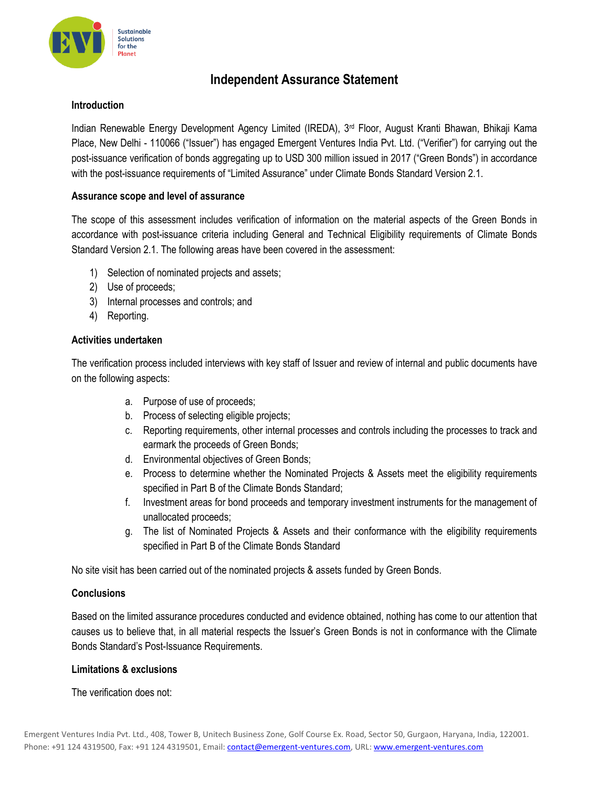

# **Independent Assurance Statement**

## **Introduction**

Indian Renewable Energy Development Agency Limited (IREDA), 3<sup>rd</sup> Floor, August Kranti Bhawan, Bhikaji Kama Place, New Delhi - 110066 ("Issuer") has engaged Emergent Ventures India Pvt. Ltd. ("Verifier") for carrying out the post-issuance verification of bonds aggregating up to USD 300 million issued in 2017 ("Green Bonds") in accordance with the post-issuance requirements of "Limited Assurance" under Climate Bonds Standard Version 2.1.

## **Assurance scope and level of assurance**

The scope of this assessment includes verification of information on the material aspects of the Green Bonds in accordance with post-issuance criteria including General and Technical Eligibility requirements of Climate Bonds Standard Version 2.1. The following areas have been covered in the assessment:

- 1) Selection of nominated projects and assets;
- 2) Use of proceeds;
- 3) Internal processes and controls; and
- 4) Reporting.

# **Activities undertaken**

The verification process included interviews with key staff of Issuer and review of internal and public documents have on the following aspects:

- a. Purpose of use of proceeds;
- b. Process of selecting eligible projects;
- c. Reporting requirements, other internal processes and controls including the processes to track and earmark the proceeds of Green Bonds;
- d. Environmental objectives of Green Bonds;
- e. Process to determine whether the Nominated Projects & Assets meet the eligibility requirements specified in Part B of the Climate Bonds Standard;
- f. Investment areas for bond proceeds and temporary investment instruments for the management of unallocated proceeds;
- g. The list of Nominated Projects & Assets and their conformance with the eligibility requirements specified in Part B of the Climate Bonds Standard

No site visit has been carried out of the nominated projects & assets funded by Green Bonds.

# **Conclusions**

Based on the limited assurance procedures conducted and evidence obtained, nothing has come to our attention that causes us to believe that, in all material respects the Issuer's Green Bonds is not in conformance with the Climate Bonds Standard's Post-Issuance Requirements.

#### **Limitations & exclusions**

The verification does not: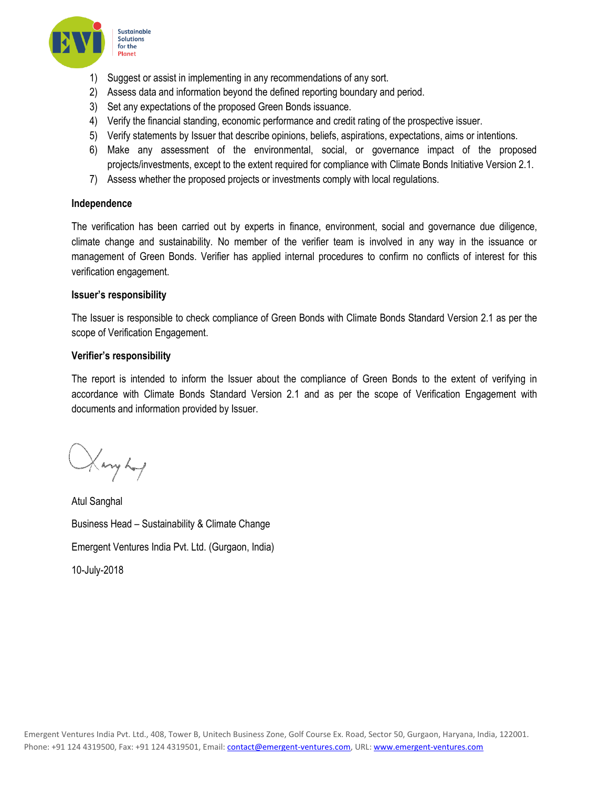

- 1) Suggest or assist in implementing in any recommendations of any sort.
- 2) Assess data and information beyond the defined reporting boundary and period.
- 3) Set any expectations of the proposed Green Bonds issuance.
- 4) Verify the financial standing, economic performance and credit rating of the prospective issuer.
- 5) Verify statements by Issuer that describe opinions, beliefs, aspirations, expectations, aims or intentions.
- 6) Make any assessment of the environmental, social, or governance impact of the proposed projects/investments, except to the extent required for compliance with Climate Bonds Initiative Version 2.1.
- 7) Assess whether the proposed projects or investments comply with local regulations.

#### **Independence**

The verification has been carried out by experts in finance, environment, social and governance due diligence, climate change and sustainability. No member of the verifier team is involved in any way in the issuance or management of Green Bonds. Verifier has applied internal procedures to confirm no conflicts of interest for this verification engagement.

#### **Issuer's responsibility**

The Issuer is responsible to check compliance of Green Bonds with Climate Bonds Standard Version 2.1 as per the scope of Verification Engagement.

#### **Verifier's responsibility**

The report is intended to inform the Issuer about the compliance of Green Bonds to the extent of verifying in accordance with Climate Bonds Standard Version 2.1 and as per the scope of Verification Engagement with documents and information provided by Issuer.

Haryhof

Atul Sanghal Business Head – Sustainability & Climate Change Emergent Ventures India Pvt. Ltd. (Gurgaon, India) 10-July-2018